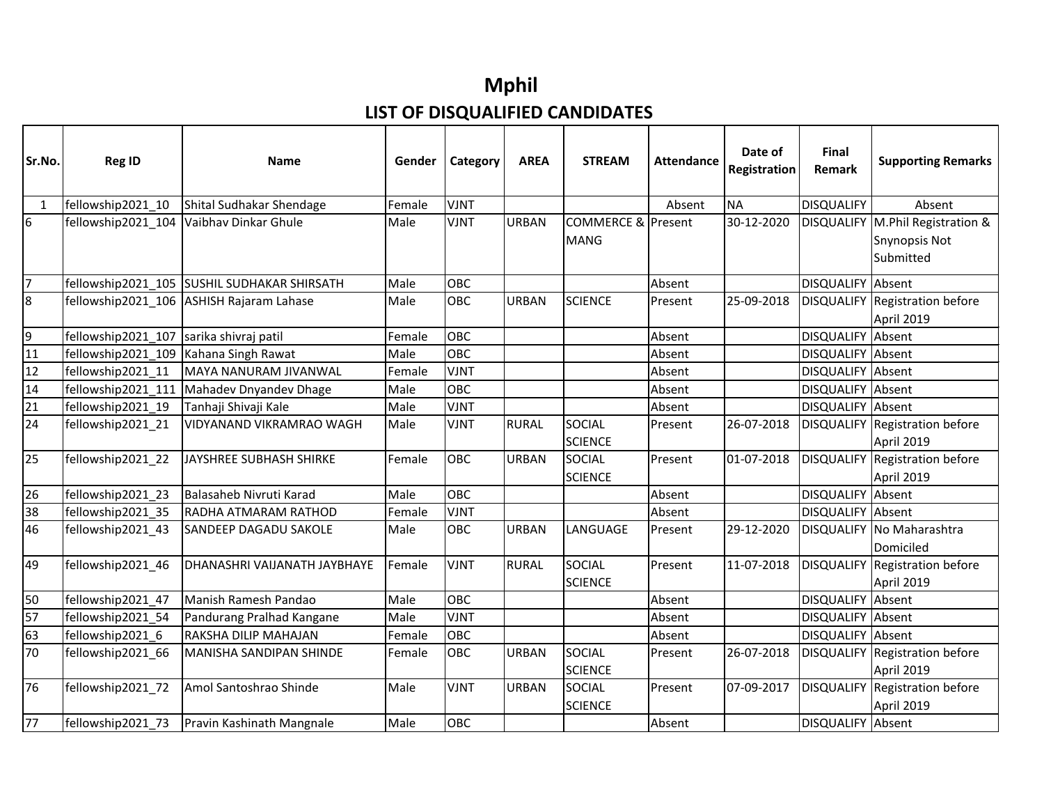## **Mphil LIST OF DISQUALIFIED CANDIDATES**

| Sr.No.          | <b>Reg ID</b>      | Name                                        | Gender | Category    | <b>AREA</b>  | <b>STREAM</b>                                | <b>Attendance</b> | Date of<br>Registration | Final<br>Remark          | <b>Supporting Remarks</b>                                        |
|-----------------|--------------------|---------------------------------------------|--------|-------------|--------------|----------------------------------------------|-------------------|-------------------------|--------------------------|------------------------------------------------------------------|
| $\mathbf 1$     | fellowship2021_10  | Shital Sudhakar Shendage                    | Female | <b>VJNT</b> |              |                                              | Absent            | <b>NA</b>               | <b>DISQUALIFY</b>        | Absent                                                           |
| $6\phantom{.}6$ | fellowship2021_104 | Vaibhav Dinkar Ghule                        | Male   | <b>VJNT</b> | <b>URBAN</b> | <b>COMMERCE &amp; Present</b><br><b>MANG</b> |                   | 30-12-2020              |                          | DISQUALIFY   M.Phil Registration &<br>Snynopsis Not<br>Submitted |
| $\overline{7}$  |                    | fellowship2021_105 SUSHIL SUDHAKAR SHIRSATH | Male   | <b>OBC</b>  |              |                                              | Absent            |                         | <b>DISQUALIFY</b> Absent |                                                                  |
| $\overline{8}$  |                    | fellowship2021_106   ASHISH Rajaram Lahase  | Male   | OBC         | <b>URBAN</b> | <b>SCIENCE</b>                               | Present           | 25-09-2018              |                          | DISQUALIFY Registration before<br>April 2019                     |
| $\overline{9}$  | fellowship2021_107 | sarika shivraj patil                        | Female | OBC         |              |                                              | Absent            |                         | DISQUALIFY Absent        |                                                                  |
| 11              | fellowship2021 109 | Kahana Singh Rawat                          | Male   | OBC         |              |                                              | Absent            |                         | DISQUALIFY Absent        |                                                                  |
| 12              | fellowship2021 11  | MAYA NANURAM JIVANWAL                       | Female | <b>VJNT</b> |              |                                              | Absent            |                         | DISQUALIFY Absent        |                                                                  |
| 14              | fellowship2021 111 | Mahadev Dnyandev Dhage                      | Male   | OBC         |              |                                              | Absent            |                         | DISQUALIFY Absent        |                                                                  |
| 21              | fellowship2021_19  | Tanhaji Shivaji Kale                        | Male   | <b>VJNT</b> |              |                                              | Absent            |                         | DISQUALIFY Absent        |                                                                  |
| 24              | fellowship2021_21  | VIDYANAND VIKRAMRAO WAGH                    | Male   | <b>VJNT</b> | <b>RURAL</b> | <b>SOCIAL</b><br><b>SCIENCE</b>              | Present           | 26-07-2018              |                          | DISQUALIFY Registration before<br>April 2019                     |
| $\overline{25}$ | fellowship2021_22  | JAYSHREE SUBHASH SHIRKE                     | Female | OBC         | <b>URBAN</b> | <b>SOCIAL</b><br><b>SCIENCE</b>              | Present           | 01-07-2018              |                          | DISQUALIFY Registration before<br>April 2019                     |
| 26              | fellowship2021 23  | Balasaheb Nivruti Karad                     | Male   | OBC         |              |                                              | Absent            |                         | DISQUALIFY Absent        |                                                                  |
| 38              | fellowship2021_35  | RADHA ATMARAM RATHOD                        | Female | <b>VJNT</b> |              |                                              | Absent            |                         | DISQUALIFY Absent        |                                                                  |
| 46              | fellowship2021 43  | SANDEEP DAGADU SAKOLE                       | Male   | OBC         | <b>URBAN</b> | LANGUAGE                                     | Present           | 29-12-2020              |                          | DISQUALIFY No Maharashtra<br>Domiciled                           |
| 49              | fellowship2021_46  | DHANASHRI VAIJANATH JAYBHAYE                | Female | <b>VJNT</b> | <b>RURAL</b> | <b>SOCIAL</b><br><b>SCIENCE</b>              | Present           | 11-07-2018              |                          | DISQUALIFY Registration before<br>April 2019                     |
| 50              | fellowship2021 47  | Manish Ramesh Pandao                        | Male   | <b>OBC</b>  |              |                                              | Absent            |                         | DISQUALIFY Absent        |                                                                  |
| 57              | fellowship2021_54  | Pandurang Pralhad Kangane                   | Male   | <b>VJNT</b> |              |                                              | Absent            |                         | DISQUALIFY Absent        |                                                                  |
| 63              | fellowship2021 6   | RAKSHA DILIP MAHAJAN                        | Female | OBC         |              |                                              | Absent            |                         | DISQUALIFY Absent        |                                                                  |
| 70              | fellowship2021 66  | <b>MANISHA SANDIPAN SHINDE</b>              | Female | <b>OBC</b>  | <b>URBAN</b> | <b>SOCIAL</b><br><b>SCIENCE</b>              | Present           | 26-07-2018              |                          | DISQUALIFY Registration before<br>April 2019                     |
| 76              | fellowship2021_72  | Amol Santoshrao Shinde                      | Male   | <b>VJNT</b> | <b>URBAN</b> | <b>SOCIAL</b><br><b>SCIENCE</b>              | Present           | 07-09-2017              |                          | <b>DISQUALIFY Registration before</b><br>April 2019              |
| 77              | fellowship2021 73  | Pravin Kashinath Mangnale                   | Male   | <b>OBC</b>  |              |                                              | Absent            |                         | DISQUALIFY Absent        |                                                                  |